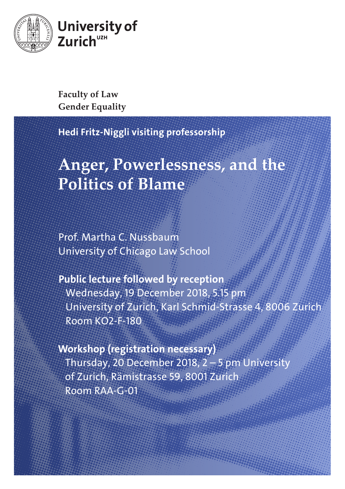

**Faculty of Law Gender Equality**

Hedi Fritz-Niggli visiting professorship

## **Anger, Powerlessness, and the Politics of Blame**

Prof. Martha C. Nussbaum University of Chicago Law School

Public lecture followed by reception Wednesday, 19 December 2018, 5.15 pm University of Zurich, Karl Schmid-Strasse 4, 8006 Zurich Room KO2-F-180

Workshop (registration necessary) Thursday, 20 December 2018, 2 – 5 pm University of Zurich, Rämistrasse 59, 8001 Zurich Room RAA-G-01